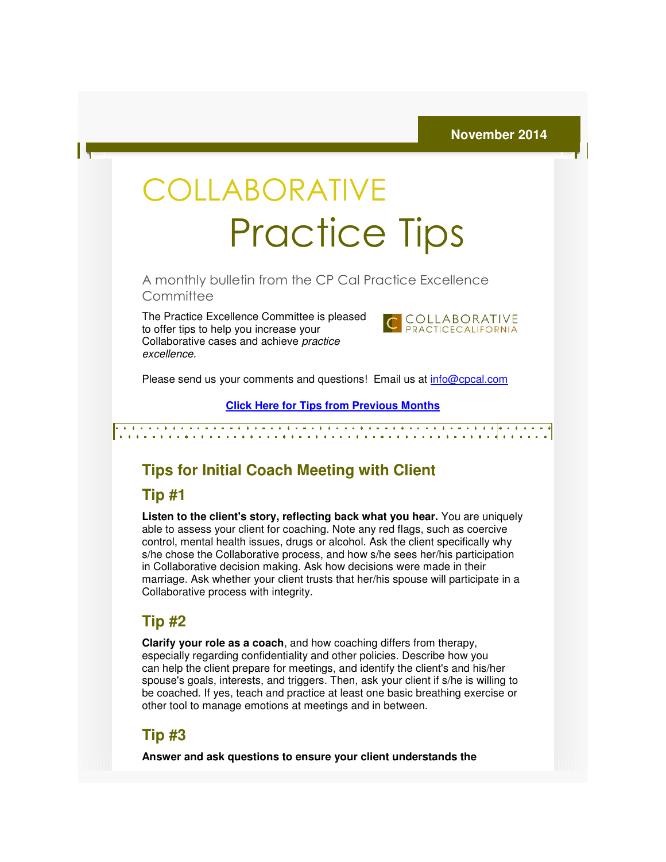# COLLABORATIVE Practice Practice Tips

A monthly bulletin from the CP Cal Practice Excellence CP Cal **Committee** 

The Practice Excellence Committee is pleased to offer tips to help you increase your The Practice Excellence Committee is ple<br>to offer tips to help you increase your<br>Collaborative cases and achieve *practice* excellence.



Please send us your comments and questions! Email us at *info@cpcal.com* 

**Click Here for Tips from Previous Months for Tips** 

# **Tips for Initial Coach Meeting with Client**

#### **Tip #1**

**Listen to the client's story, reflecting back what you hear.** You are uniquely able to assess your client for coaching. Note any red flags, such as coercive able to assess your client for coaching. Note any red flags, such as coercive<br>control, mental health issues, drugs or alcohol. Ask the client specifically why s/he chose the Collaborative process, and how s/he sees her/his participation in Collaborative decision making. Ask how decisions were made in their s/he chose the Collaborative process, and how s/he sees her/his participation<br>in Collaborative decision making. Ask how decisions were made in their<br>marriage. Ask whether your client trusts that her/his spouse will partici Collaborative process with integrity. **b the client's story, reflecting back what you hear.** You are uniquely ssess your client for coaching. Note any red flags, such as coercive mental health issues, drugs or alcohol. Ask the client specifically why ese the C

## **Tip #2**

**Clarify your role as a coach**, and how coaching differs from therapy, especially regarding confidentiality and other policies. Describe how you especially regarding confidentiality and other policies. Describe how you<br>can help the client prepare for meetings, and identify the client's and his/her spouse's goals, interests, and triggers. Then, ask your client if s/he is willing to spouse's goals, interests, and triggers. Then, ask your client if s/he is willing to<br>be coached. If yes, teach and practice at least one basic breathing exercise or other tool to manage emotions at meetings and in between.

# **Tip #3**

**Answer and ask questions to ensure your client understands the**